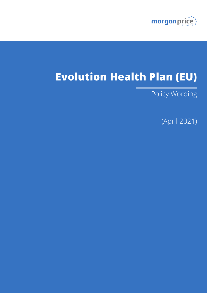

# **Evolution Health Plan (EU)**

Policy Wording

(April 2021)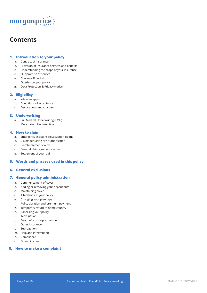

## **Contents**

## **1. Introduction to your policy**

- a. Contract of insurance
- b. Provision of insurance services and benefits
- c. Understanding the scope of your insurance
- d. Our promise of service
- e. Cooling-off period
- f. Queries on your policy
- g. Data Protection & Privacy Notice

## **2. Eligibility**

- a. Who can apply
- b. Conditions of acceptance
- c. Declarations and changes

### **3. Underwriting**

- a. Full Medical Underwriting (FMU)
- b. Moratorium Underwriting

### **4. How to claim**

- a. Emergency assistance/evacuation claims
- b. Claims requiring pre-authorisation
- c. Reimbursement claims
- d. General claims guidance notes
- e. Settlement of your claim

## **5. Words and phrases used in this policy**

## **6. General exclusions**

## **7. General policy administration**

- a. Commencement of cover
- b. Adding or removing your dependants
- c. Maintaining cover
- d. Alterations to your policy
- e. Changing your plan type
- f. Policy duration and premium payment
- g. Temporary return to home country
- h. Cancelling your policy
- i. Termination
- j. Death of a principle member
- k. Other insurance
- l. Subrogation
- m. Help and intervention
- n. Compliance
- o. Governing law

## **8. How to make a complaint**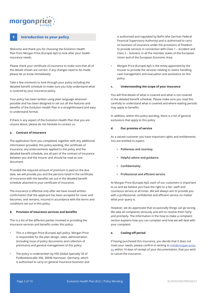## morganpri

## **1 Introduction to your policy**

Welcome and thank you for choosing the Evolution Health Plan from Morgan Price (Europe) ApS to look after your health insurance needs.

Please check your certificate of insurance to make sure that all of the details shown are correct. If any changes need to be made, please let us know immediately.

Take a few moments to look through your policy including the detailed benefit schedule to make sure you fully understand what is covered by your insurance policy.

Your policy has been written using plain language wherever possible and has been designed to set out all the features and benefits of the Evolution Health Plan in a straightforward and easy to understand format.

If there is any aspect of the Evolution Health Plan that you are unsure about, please do not hesitate to contact us.

#### **a. Contract of insurance**

The application form you completed, together with any additional information provided, this policy wording, the certificate of insurance, any endorsements applied to the policy and the detailed benefit schedule, are all part of the contract of insurance between you and the Insurer and should be read as one document.

Provided the required amount of premium is paid on the due date, we will provide you and the persons listed in the certificate of insurance with the benefits set out in the detailed benefit schedule attached to your certificate of insurance.

The insurance is effective only after we have issued written confirmation that the applicant has been accepted for cover and becomes, and remains, insured in accordance with the terms and conditions set out in this policy.

#### **b. Provision of insurance services and benefits**

This is a list of the different parties involved in providing the insurance services and benefits under this policy:

- This is a Morgan Price (Europe) ApS policy. Morgan Price is responsible for the plan design, sales, administration (including issue of policy documents and collection of premiums) and general management of this policy.
- The policy is underwritten by HDI Global Specialty SE of Podbielskistraße 396, 30696 Hannover, Germany, which is authorised to carry on general insurance business and

is authorised and regulated by BaFin (the German Federal Financial Supervisory Authority) and is authorised to carry on business of insurance under the provisions of freedom to provide services in connection with Class 1 – Accident and Class 2 – Sickness, in all the member states of the European Union and of the European Economic Area.

• Morgan Price (Europe) ApS is the entity appointed by the Insurer to provide the services relating to claims handling, case management and evacuation and assistance on this policy.

#### **c. Understanding the scope of your insurance**

You will find details of what is covered and what is not covered in the detailed benefit schedule. Please make sure you read this carefully to understand what is covered and where waiting periods may apply to benefits.

In addition, within this policy wording, there is a list of general exclusions that apply to this policy.

#### **d. Our promise of service**

As a valued customer you have important rights and entitlements. You are entitled to expect:

- **• Politeness and courtesy.**
- **• Helpful advice and guidance.**
- **• Confidentiality.**
- **• Professional and efficient service.**

At Morgan Price (Europe) ApS, each of our customers is important to us and we believe you have the right to a fair, swift and courteous service at all times. We will always aim to provide you with a professional, confidential and efficient service no matter what your query is.

However, we do appreciate that occasionally things can go wrong. We take all complaints seriously and aim to resolve them fairly and promptly. The information in the how to make a complaint section explains how you can complain and how we will deal with your complaint.

#### **e. Cooling-off period**

If having purchased this insurance, you decide that it does not meet your needs, please confirm in writing to info@morgan-price. eu within 14 days of receipt of your documentation, that you wish to cancel the insurance.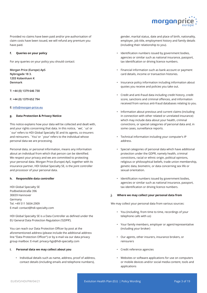

Provided no claims have been paid and/or pre-authorisation of claim costs have been issued, we will refund any premium you have paid.

#### **f. Queries on your policy**

For any queries on your policy you should contact:

**Morgan Price (Europe) ApS Nybrogade 18 3. 1203 Kobenhavn K Denmark**

**T: +44 (0) 1379 646 730**

**F: +44 (0) 1379 652 794**

#### **E: info@morgan-price.eu**

#### **g. Data Protection & Privacy Notice**

This notice explains how your data will be collected and dealt with, and your rights concerning that data. In this notice, `we', `us' or `our' refers to HDI Global Specialty SE and its agents, co-insurers and reinsurers. `You' or `your' refers to the individual whose personal data we are processing.

Personal data, or personal information, means any information about an individual from which that person can be identified. We respect your privacy and we are committed to protecting your personal data. Morgan Price (Europe) ApS, together with its insurance partner, HDI Global Specialty SE, is the joint controller and processor of your personal data.

#### **h. Responsible data controller**

HDI Global Specialty SE Podbielskistraße 396 30659 Hannover Germany Tel. +49 511 5604-2909 E-mail: contact@hdi-specialty.com

HDI Global Specialty SE is a Data Controller as defined under the EU General Data Protection Regulation ('GDPR').

You can reach our Data Protection Officer by post at the aforementioned address (please include the additional address line "Data Protection Officer") or by e-mail via our data privacy group mailbox: E-mail: privacy-hgs@hdi-specialty.com

#### **i. Personal data we may collect about you**

• Individual details such as name, address, proof of address, contact details (including emails and telephone numbers),

gender, marital status, date and place of birth, nationality, employer, job title, employment history and family details (including their relationship to you).

- Identification numbers issued by government bodies, agencies or similar such as national insurance, passport, tax identification or driving licence numbers.
- Financial information such as bank account or payment card details, income or transaction histories.
- Insurance policy information including information about quotes you receive and policies you take out.
- Credit and anti-fraud data including credit history, credit score, sanctions and criminal offences, and information received from various anti-fraud databases relating to you.
- Information about previous and current claims (including in connection with other related or unrelated insurance) which may include data about your health, criminal convictions, or special categories of personal data and, in some cases, surveillance reports.
- Technical information including your computer's IP address.
- Special categories of personal data which have additional protection under the GDPR, namely health, criminal convictions, racial or ethnic origin, political opinions, religious or philosophical beliefs, trade union membership, genetic data, biometric, or data concerning sex life or sexual orientation.
- Identification numbers issued by government bodies, agencies or similar such as national insurance, passport, tax identification or driving licence numbers.

#### **j. Where we may collect your personal data from**

We may collect your personal data from various sources:

- You (including, from time to time, recordings of your telephone calls with us)
- Your family members, employer or agent/representative (including your broker)
- Our agents, other insurers, insurance brokers, or reinsurers
- Credit reference agencies
- Websites or software applications for use on computers or mobile devices and/or social media content, tools and applications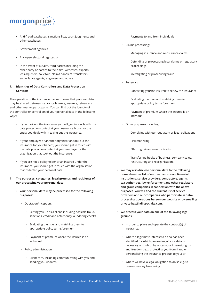

- Anti-fraud databases, sanctions lists, court judgments and other databases
- Government agencies
- Any open electoral register; or
- In the event of a claim, third parties including the other party or parties to the claim, witnesses, experts, loss adjusters, solicitors, claims handlers, translators, surveillance agents, engineers and others.

## **k. Identities of Data Controllers and Data Protection Contacts**

The operation of the insurance market means that personal data may be shared between insurance brokers, insurers, reinsurers and other market participants. You can find out the identity of the controller or controllers of your personal data in the following ways:

- If you took out the insurance yourself, get in touch with the data protection contact at your insurance broker or the entity you dealt with in taking out the insurance.
- If your employer or another organisation took out the insurance for your benefit, you should get in touch with the data protection contact at your employer or the organisation that took out the insurance.
- If you are not a policyholder or an insured under the insurance, you should get in touch with the organisation that collected your personal data.

### **l. The purposes, categories, legal grounds and recipients of our processing your personal data**

- **• Your personal data may be processed for the following purposes:** 
	- Quotation/inception:
		- Setting you up as a client, including possible fraud, sanctions, credit and anti-money laundering checks
		- Evaluating the risks and matching them to appropriate policy terms/premium
		- Payment of premium where the insured is an individual
	- Policy administration
		- Client care, including communicating with you and sending you updates
- Payments to and from individuals
- Claims processing:
	- Managing insurance and reinsurance claims
	- Defending or prosecuting legal claims or regulatory proceedings
	- Investigating or prosecuting fraud
- Renewals
	- Contacting you/the insured to renew the insurance
	- Evaluating the risks and matching them to appropriate policy terms/premium
	- Payment of premium where the insured is an individual
- Other purposes including:
	- Complying with our regulatory or legal obligations
	- Risk modelling
	- Effecting reinsurance contracts
	- Transferring books of business, company sales, restructuring and reorganisation.
- **• We may also disclose personal data to the following non-exhaustive list of entities: reinsurers, financial institutions, service providers, contractors, agents, tax authorities, law enforcement and other regulators and group companies in connection with the above purposes. You will find the current list of service providers and our companies who participate in dataprocessing operations hereon our website or by emailing privacy-hgs@hdi-specialty.com.**
- **• We process your data on one of the following legal grounds:**
	- In order to place and operate the contract(s) of insurance;
	- Where a legitimate interest to do so has been identified for which processing of your data is necessary and which balances your interest, rights and freedoms e.g. protecting you from fraud or personalising the insurance product to you; or
	- Where we have a legal obligation to do so e.g. to prevent money laundering.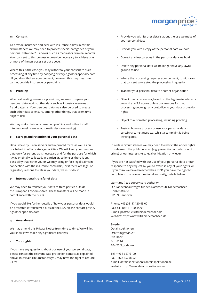

#### **m. Consent**

To provide insurance and deal with insurance claims in certain circumstances we may need to process special categories of your personal data (see 2.8 above), such as medical or criminal records. Your consent to this processing may be necessary to achieve one or more of the purposes set out above.

Where this is the case, you may withdraw your consent to such processing at any time by notifying privacy-hgs@hdi-specialty.com . If you do withdraw your consent, however, this may mean we cannot provide insurance or pay claims.

#### **n. Profiling**

When calculating insurance premiums, we may compare your personal data against other data such as industry averages or fraud patterns. Your personal data may also be used to create such other data to ensure, among other things, that premiums align to risk.

We may make decisions based on profiling and without staff intervention (known as automatic decision making).

#### **o. Storage and retention of your personal data**

Data is held by us on servers and in printed form, as well as on our behalf in off-site storage facilities. We will keep your personal data only for so long as is necessary and for the purpose for which it was originally collected. In particular, so long as there is any possibility that either you or we may bring or face legal claims in connection with the insurance contract(s), or if there are legal or regulatory reasons to retain your data, we must do so.

#### **p. International transfer of data**

We may need to transfer your data to third parties outside the European Economic Area. These transfers will be made in compliance with the GDPR.

If you would like further details of how your personal data would be protected if transferred outside the EEA, please contact privacyhgs@hdi-specialty.com.

#### **q. Amendment**

We may amend this Privacy Notice from time to time. We will let you know if we make any significant changes.

#### **r. Your rights**

If you have any questions about our use of your personal data, please contact the relevant data protection contact as explained above. In certain circumstances you may have the right to require us to:

- Provide you with further details about the use we make of your personal data
- Provide you with a copy of the personal data we hold
- Correct any inaccuracies in the personal data we hold
- Delete any personal data we no longer have any lawful ground to use
- Where the processing requires your consent, to withdraw that consent so we stop the processing in question
- Transfer your personal data to another organisation
- Object to any processing based on the legitimate interests ground at 4.3.2 above unless our reasons for that processing outweigh any prejudice to your data protection rights
- Object to automated processing, including profiling
- Restrict how we process or use your personal data in certain circumstances e.g. whilst a complaint is being investigated.

In certain circumstances we may need to restrict the above rights to safeguard the public interest (e.g. prevention or detection of crime) or our interests (e.g. legal or litigation privilege).

If you are not satisfied with our use of your personal data or our response to any request by you to exercise any of your rights, or if you think we have breached the GDPR, you have the right to complain to the relevant national authority, details below.

**Germany** (lead supervisory authority) Die Landesbeauftragte für den Datenschutz Niedersachsen Prinzenstraße 5 30159 Hannover

Phone: +49 (0511) 120 45 00 Fax: +49 (0511) 120 45 99 E-mail: poststelle@lfd.niedersachsen.de Website: https://www.lfd.niedersachsen.de

#### **Sweden**

Datainspektionen Drottninggatan 29 5th Floor Box 8114 104 20 Stockholm

Tel. +46 8 657 6100 Fax +46 8 652 8652 e-mail: datainspektionen@datainspektionen.se Website: http://www.datainspektionen.se/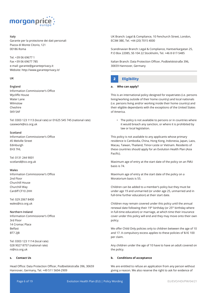

#### **Italy**

Garante per la protezione dei dati personali Piazza di Monte Citorio, 121 00186 Roma

Tel. +39 06 69677 1 Fax +39 06 69677 785 e-mail: garante@garanteprivacy.it Website: http://www.garanteprivacy.it/

#### **UK**

#### **England**

Information Commissioner's Office Wycliffe House Water Lane Wilmslow Cheshire SK9 5AF

Tel: 0303 123 1113 (local rate) or 01625 545 745 (national rate) casework@ico.org.uk

#### **Scotland**

Information Commissioner's Office 45 Melville Street Edinburgh EH3 7HL

Tel: 0131 244 9001 scotland@ico.org.uk

#### **Wales**

Information Commissioner's Office 2nd Floor Churchill House Churchill Way Cardiff CF10 2HH

Tel: 029 2067 8400 wales@ico.org.uk

#### **Northern Ireland**

Information Commissioner's Office 3rd Floor 14 Cromac Place Belfast BT7 2JB

Tel: 0303 123 1114 (local rate) 028 9027 8757 (national rate) ni@ico.org.uk

#### **s. Contact Us**

Head Office: Data Protection Officer, Podbielskistraße 396, 30659 Hannover, Germany, Tel. +49 511 5604-2909

UK Branch: Legal & Compliance, 10 Fenchurch Street, London, EC3M 3BE, Tel. +44 (20) 7015 4000

Scandinavian Branch: Legal & Compliance, Hantverkargatan 25, P.O Box 22085, SE-104 22 Stockholm, Tel. +46 8 617-5485

Italian Branch: Data Protection Officer, Podbielskistraße 396, 30659 Hannover, Germany

## **2 Eligibility**

### **a. Who can apply?**

This is an international policy designed for expatriates (i.e. persons living/working outside of their home country) and local nationals (i.e. persons living and/or working inside their home country) and their eligible dependants with the exceptions of the United States of America.

• The policy is not available to persons or in countries where it would breach any sanction, or where it is prohibited by law or local legislation.

This policy is not available to any applicants whose primary residence is Cambodia, China, Hong Kong, Indonesia, Japan, Laos, Macau, Taiwan, Thailand, Timor-Leste or Vietnam. Residents of these countries should apply for an Evolution Health Plan (Asia Pacific).

Maximum age of entry at the start date of the policy on an FMU basis is 74.

Maximum age of entry at the start date of the policy on a Moratorium basis is 55.

Children can be added to a member's policy but they must be under age 19 and unmarried (or under age 25, unmarried and in full-time further education) at their start date.

Children may remain covered under this policy until the annual renewal date following their 19<sup>th</sup> birthday (or 25<sup>th</sup> birthday where in full-time education) or marriage, at which time their insurance cover under this policy will end and they may move onto their own policy.

We offer Child Only policies only to children between the age of 10 and 17. A compulsory excess applies to these policies of \$//£ 100 per claim.

Any children under the age of 10 have to have an adult covered on the policy.

#### **b. Conditions of acceptance**

We are entitled to refuse an application from any person without giving a reason. We also reserve the right to ask for evidence of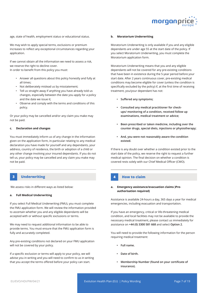

age, state of health, employment status or educational status.

We may wish to apply special terms, exclusions or premium increases to reflect any exceptional circumstances regarding your application.

If we cannot obtain all the information we need to assess a risk, we reserve the right to decline cover. In order to benefit from this policy you must:

- Answer all questions about this policy honestly and fully at all times;
- Not deliberately mislead us by misstatement;
- Tell us straight away if anything you have already told us changes, especially between the date you apply for a policy and the date we issue it;
- Observe and comply with the terms and conditions of this policy.

Or your policy may be cancelled and/or any claim you make may not be paid.

#### **c. Declaration and changes**

You must immediately inform us of any change in the information given on the application form, in-particular relating to any medical declaration you have made for yourself and any dependants, your address, country of residence, the birth or adoption of a child or any other change involving your insured dependants. If you do not tell us, your policy may be cancelled and any claim you make may not be paid.

## **3 Underwriting 4 How to claim**

We assess risks in different ways as listed below:

#### **a. Full Medical Underwriting**

If you select Full Medical Underwriting (FMU), you must complete the FMU application form. We will review the information provided to ascertain whether you and any eligible dependants will be accepted with or without specific exclusions or terms.

We may need to request additional information to be able to provide terms. You must ensure that the FMU application form is fully and accurately completed.

Any pre-existing conditions not declared on your FMU application will not be covered by your policy.

If a specific exclusion or terms will apply to your policy, we will advise you in writing and you will need to confirm to us in writing that you accept the terms offered before your policy can start.

#### **b. Moratorium Underwriting**

Moratorium Underwriting is only available if you and any eligible dependants are under age 55 at the start date of the policy. If you select Moratorium Underwriting, you must complete the Moratorium application form.

Moratorium Underwriting means that you and any eligible dependants will not be covered for any pre-existing conditions that have been in existence during the 5-year period before your start date. After 2 years continuous cover, pre-existing medical conditions may become eligible for cover (unless the condition is specifically excluded by the policy) if, at the first time of receiving treatment, you/your dependant has not:

- **• Suffered any symptoms;**
- **• Consulted any medical practitioner for checkups/ monitoring of a condition, received follow up examinations, medical treatment or advice;**
- **• Been prescribed or taken medicine, including over the counter drugs, special diets, injections or physiotherapy;**
- **• And, you were not reasonably aware the condition existed.**

If there is any doubt over whether a condition existed prior to the start date of the policy, we reserve the right to request a further medical opinion. The final decision on whether a condition is covered rests solely with our Chief Medical Officer (CMO).

#### **a. Emergency assistance/evacuation claims )Preauthorisation required)**

Assistance is available 24-hours a day, 365 days a year for medical emergencies, including evacuation and transportation.

If you have an emergency, critical or life-threatening medical condition, and local facilities may not be available to provide the necessary medical treatment, please contact us immediately for assistance on **+44 (0) 3300 581 668** and select **Option 2**.

You will need to provide the following information for the person requiring medical treatment:

- **• Full name.**
- **• Date of birth.**
- **• Membership Number (found on your certificate of insurance).**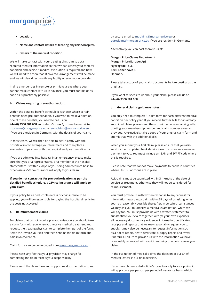

- **• Location.**
- **• Name and contact details of treating physician/hospital.**
- **• Details of the medical condition.**

We will make contact with your treating physician to obtain required medical information so that we can assess your medical condition and decide if medical evacuation is required and how we will need to action that. If covered, arrangements will be made and we will deal directly with any facility or evacuation provider.

In dire emergencies in remote or primitive areas where you cannot make contact with us in advance, you must contact us as soon as is practicably possible.

#### **b. Claims requiring pre-authorisation**

Within the detailed benefit schedule it is shown where certain benefits need pre-authorisation. If you wish to make a claim on one of these benefits, you need to call us on

**+44 (0) 3300 581 668** and select **Option 3,** or send an email to mpclaims@morgan-price.eu or euroclaims@morgan-price.eu if you are a resident in Germany, with the details of your claim.

In most cases, we will then be able to deal directly with the hospital/clinic to arrange your treatment and then place a guarantee of payment with the hospital and pay them directly.

If you are admitted into hospital in an emergency, please make sure that you or a representative, or a member of the hospital staff contact us within 2 days of you being admitted into hospital otherwise a 25% co-insurance will apply to your claim.

### **If you do not contact us for pre-authorisation as per the detailed benefit schedule, a 25% co-insurance will apply to your claim.**

If your policy has a deductible/excess or co-insurance to be applied, you will be responsible for paying the hospital directly for the costs not covered.

#### **c. Reimbursement claims**

For claims that do not require pre-authorisation, you should take a claim form with you when you receive medical treatment and request the treating physician to complete their part of the form. Settle the invoice yourself and then send us the claim form and paid invoice/receipt.

Claim forms can be downloaded from www.morgan-price.eu

Please note, any fee that your physician may charge for completing the claim form is your responsibility.

Please send the claim form and supporting documentation to us

#### by secure email to mpclaims@morgan-price.eu or euroclaims@morgan-price.eu if you are resident in Germany.

Alternatively you can post them to us at:

**Morgan Price Claims Department Morgan Price (Europe) ApS Nybrogade 18 3. 1203 Kobenhavn K Denmark**

Please take a copy of your claim documents before posting us the originals.

If you want to speak to us about your claim, please call us on **+44 (0) 3300 581 668**.

#### **d. General claims guidance notes**

You only need to complete 1 claim form for each different medical condition per policy year. If you receive further bills for an already submitted claim, please send them in with an accompanying letter quoting your membership number and claim number already provided. Alternatively, take a copy of your original claim form and submit that with the additional bills.

When you submit your first claim, please ensure that you also send us the completed bank details form to ensure we can make payment to you. You must include an IBAN and SWIFT code where this is required.

Please note that we cannot make payments to banks in countries where UK/US Sanctions are in place.

**ALL** claims must be submitted within **3 months** of the date of service or treatment, otherwise they will not be considered for reimbursement.

You must provide us with written response to any request for information regarding a claim within 28 days of us asking, or as soon as reasonably possible thereafter. In certain circumstances we may ask you to undergo a medical examination, which we will pay for. You must provide us with a written statement to substantiate your claim together with (at your own expense) all necessary documentary evidence, information, certificates, receipts and reports that we may reasonably request you to supply. It may also be necessary to request information such as a police report, death certificate, autopsy report and travel itineraries. Failure to provide us with the information we have reasonably requested will result in us being unable to assess your claim.

In the evaluation of medical claims, the decision of our Chief Medical Officer is our final decision.

If you have chosen a deductible/excess to apply to your policy, it will apply on a per person per period of insurance basis, which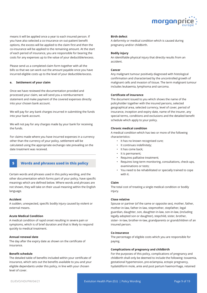

means it will be applied once a year to each insured person. If you have also selected a co-insurance on out-patient benefit options, the excess will be applied to the claim first and then the co-insurance will be applied to the remaining amount. At the start of each period of insurance, you are responsible for bearing the costs for any expenses up to the value of your deductible/excess.

Please send us a completed claim form together with all the bills so that we can work out the amount payable once you have incurred eligible costs up to the level of your deductible/excess.

#### **e. Settlement of your claim**

Once we have reviewed the documentation provided and processed your claim, we will send you a reimbursement statement and make payment of the covered expenses directly into your chosen bank account.

We will pay for any bank charges incurred in submitting the funds into your bank account.

We will not pay for any charges made by your bank for receiving the funds.

For claims made where you have incurred expenses in a currency other than the currency of your policy, settlement will be calculated using the appropriate exchange rate prevailing on the date treatment was received.

## **5 Words and phrases used in this policy**

Certain words and phrases used in this policy wording, and the other documentation which forms part of your policy, have specific meanings which are defined below. Where words and phrases are not shown, they will take on their usual meaning within the English language.

#### **Accident**

A sudden, unexpected, specific bodily injury caused by violent or external means.

#### **Acute Medical Condition**

A medical condition of rapid onset resulting in severe pain or symptoms, which is of brief duration and that is likely to respond quickly to medical treatment.

#### **Annual renewal date**

The day after the expiry date as shown on the certificate of insurance.

#### **Benefit schedule**

The detailed table of benefits included within your certificate of insurance, which sets out the benefits available to you and your eligible dependants under this policy, in line with your chosen level of cover.

#### **Birth defect**

A deformity or medical condition which is caused during pregnancy and/or childbirth.

#### **Bodily injury**

An identifiable physical injury that directly results from an accident.

#### **Cancer**

Any malignant tumour positively diagnosed with histological confirmation and characterised by the uncontrolled growth of malignant cells and invasion of tissue. The term malignant tumour includes leukaemia, lymphoma and sarcoma.

#### **Certificate of insurance**

The document issued to you which shows the name of the policyholder together with the insured persons, selected geographical area, selected currency, level of cover, period of insurance, inception and expiry date, name of the insurer, any special terms, conditions and exclusions and the detailed benefit schedule which apply to your policy.

#### **Chronic medical condition**

A medical condition which has two or more of the following characteristics:

- It has no known recognised cure;
- It continues indefinitely;
- It has come back;
- It is permanent;
- Requires palliative treatment;
- Requires long-term monitoring, consultations, check-ups, examinations or tests;
- You need to be rehabilitated or specially trained to cope with it.

#### **Claim**

The total cost of treating a single medical condition or bodily injury.

#### **Close relative**

Spouse or partner (of the same or opposite sex), mother, father, mother-in-law, father-in-law, stepmother, stepfather, legal guardian, daughter, son, daughter-in-law, son-in-law, (including legally adopted son or daughter), stepchild, sister, brother, sister- in-law, brother-in-law, grandparents or grandchildren of an insured person.

#### **Co-insurance**

The percentage of eligible costs which you are responsible for paying.

#### **Complications of pregnancy and childbirth**

For the purposes of this policy, complications of pregnancy and childbirth shall only be deemed to include the following: toxaemia, gestational hypertension, pre-eclampsia, ectopic pregnancy, hydatidiform mole, ante and post partum haemorrhage, retained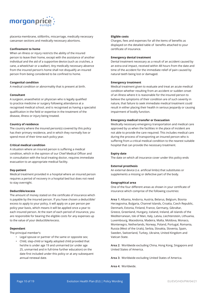

placenta membrane, stillbirths, miscarriage, medically necessary caesarean sections and medically necessary abortions.

#### **Confinement to home**

When an illness or injury restricts the ability of the insured person to leave their home, except with the assistance of another individual and the aid of a supportive device (such as crutches, a cane, a wheelchair or a walker). Any medically necessary absence from the insured person's home shall not disqualify an insured person from being considered to be confined to home.

#### **Congenital condition**

A medical condition or abnormality that is present at birth.

#### **Consultant**

A surgeon, anaesthetist or physician who is legally qualified to practice medicine or surgery following attendance at a recognised medical school, and is recognised as having a specialist qualification in the field or expertise in the treatment of the disease, illness or injury being treated.

#### **Country of residence**

The country where the insured person(s) covered by this policy has their primary residence, and in which they normally live or spend most of their time each policy year.

#### **Critical medical condition**

A situation where an insured person is suffering a medical condition, which in the opinion of our Chief Medical Officer and in consultation with the local treating doctor, requires immediate evacuation to an appropriate medical facility.

#### **Day-patient**

Medical treatment provided in a hospital where an insured person requires a period of recovery in a hospital bed but does not need to stay overnight.

#### **Deductible/excess**

The amount of money stated on the certificate of insurance which is payable by the insured person. If you have chosen a deductible/ excess to apply to your policy, it will apply on a per person per policy year basis, which means it will be applied once a year to each insured person. At the start of each period of insurance, you are responsible for bearing the eligible costs for any expenses up to the value of your deductible/excess.

#### **Dependant**

The principal member's:

- Legal spouse or partner of the same or opposite sex;
- Child, step-child or legally adopted child provided that he/she is under age 19 and unmarried (or under age 25, unmarried and in full-time further education) on the date first included under this policy or at any subsequent annual renewal date.

#### **Eligible costs**

Charges, fees and expenses for all the items of benefits as displayed on the detailed table of benefits attached to your certificate of insurance.

#### **Emergency dental treatment**

Dental treatment necessary as a result of an accident caused by an extra-oral impact, received within 48 hours from the date and time of the accident for the immediate relief of pain caused by natural teeth being lost or damaged.

#### **Emergency treatment**

Medical treatment given to evaluate and treat an acute medical condition whether resulting from an accident or sudden onset of an illness where it is reasonable for the insured person to believe the symptoms of their condition are of such severity in nature, that failure to seek immediate medical treatment could result in either placing their health in serious jeopardy or causing impairment of bodily function.

#### **Emergency medical transfer or Evacuation**

Medically necessary emergency transportation and medical care approved by us when the facilities in the place of incident are not able to provide the care required. This includes medical care during the process of transporting an insured person who is suffering from a critical medical condition to the nearest suitable hospital that can provide the necessary treatment.

#### **Expiry date**

The date on which all insurance cover under this policy ends

#### **External prosthesis**

An external device (i.e. artificial limbs) that substitutes or supplements a missing or defective part of the body.

#### **Geographical area**

One of the four different areas as shown in your certificate of insurance which comprise of the following countries:

**Area 1:** Albania, Andorra, Austria, Belarus, Belgium, Bosnia Herzegovina, Bulgaria, Channel Islands, Croatia, Czech Republic, Denmark, Estonia, Finland, France, Germany, Gibraltar, Greece, Greenland, Hungary, Iceland, Ireland, all islands of the Mediterranean, Isle of Man, Italy, Latvia, Liechtenstein, Lithuania, Luxembourg, Macedonia, Madeira, Malta, Moldova, Monaco, Montenegro, Netherlands, Norway, Poland, Portugal, Romania, Russia (West of the Urals), Serbia, Slovakia, Slovenia, Spain, Sweden, Switzerland, Turkey, Ukraine, United Kingdom and Vatican State.

**Area 2:** Worldwide excluding China, Hong Kong, Singapore and United States of America.

**Area 3:** Worldwide excluding United States of America.

**Area 4:** Worldwide.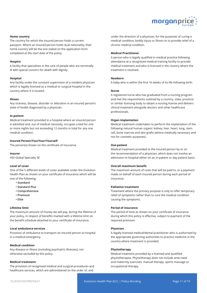

#### **Home country**

The country for which the insured person holds a current passport. Where an insured person holds dual nationality, their home country will be the one stated on the application form completed at the start date of the policy.

#### **Hospice**

A facility that specialises in the care of people who are terminally ill with special concern for death with dignity.

#### **Hospital**

Any facility under the constant supervision of a resident physician which is legally licensed as a medical or surgical hospital in the country where it is located.

#### **Illness**

Any sickness, disease, disorder or alteration in an insured person's state of health diagnosed by a physician.

#### **In-patient**

Medical treatment provided in a hospital where an insured person is admitted and, out of medical necessity, occupies a bed for one or more nights but not exceeding 12 months in total for any one medical condition.

#### **Insured Person/You/Your/Yourself**

The person(s) shown on the certificate of insurance.

#### **Insurer**

HDI Global Specialty SE

#### **Level of cover**

One of the 5 different levels of cover available under the Evolution Health Plan as shown on your certificate of insurance which will be one of the following:

- **Standard**
- **Standard Plus**
- **Comprehensive**
- **Premium**
- **Elite**

#### **Lifetime limit**

The maximum amount of money we will pay, during the lifetime of your policy, in respect of benefits marked with a lifetime limit on the benefit schedule attached to your certificate of insurance.

#### **Local ambulance services**

Provision of ambulance to transport an insured person to hospital in a medical emergency.

#### **Medical condition**

Any disease or illness (including psychiatric illnesses), not otherwise excluded by this policy.

#### **Medical treatment**

The provision of recognised medical and surgical procedures and healthcare services, which are administered on the order of, and

under the direction of a physician, for the purposes of curing a medical condition, bodily injury or illness or to provide relief of a chronic medical condition.

#### **Medical Practitioner**

A person who is legally qualified in medical practice following attendance at a recognised medical training facility to provide medical treatment and who is licensed in the country where the treatment is received.

#### **Newborn**

A baby who is within the first 16 weeks of its life following birth.

#### **Nurse**

A registered nurse who has graduated from a nursing program and met the requirements outlined by a country, state, province or similar licensing body to obtain a nursing license and delivers clinical treatment alongside doctors and other healthcare professionals.

#### **Organ implantation**

Medical treatment undertaken to perform the implantation of the following natural human organs: kidney, liver, heart, lung, stem cell, bone marrow and skin grafts (where medically necessary and not for cosmetic purposes).

#### **Out-patient**

Medical treatment provided to the insured person by or on the recommendation of a physician, which does not involve an admission to hospital either on an in-patient or day-patient basis.

#### **Overall maximum benefit**

The maximum amount of costs that will be paid to, or a payment made on behalf of each insured person during each period of insurance.

#### **Palliative treatment**

Treatment where the primary purpose is only to offer temporary relief of symptoms rather than to cure the medical condition causing the symptoms.

#### **Period of insurance**

The period of time as shown on your certificate of insurance during which this policy is effective, subject to payment of the required premium.

#### **Physician**

A legally licensed medical/dental practitioner who is authorised by the appropriate governing authorities to practice medicine in the country where treatment is provided.

#### **Physiotherapy**

Medical treatment provided by a licensed and qualified physiotherapist. Physiotherapy does not include ante-natal and maternity exercises, manual therapy, sports massage or occupational therapy.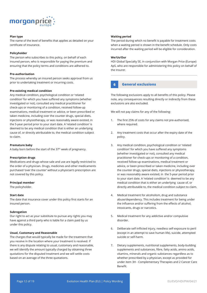

### **Plan type**

The name of the level of benefits that applies as detailed on your certificate of insurance.

#### **Policyholder**

The person who subscribes to this policy, on behalf of each insured person, who is responsible for paying the premium and ensuring that the policy terms and conditions are adhered to.

#### **Pre-authorisation**

The process whereby an insured person seeks approval from us prior to undertaking treatment or incurring costs.

#### **Pre-existing medical condition**

Any medical condition, psychological condition or 'related condition' for which you have suffered any symptoms (whether investigated or not), consulted any medical practitioner for check-ups or monitoring of a condition, received follow-up examinations, medical treatment or advice, or been prescribed or taken medicine, including over the counter drugs, special diets, injections or physiotherapy, or was reasonably aware existed, in the 5-year period prior to your start date. A 'related condition' is deemed to be any medical condition that is either an underlying cause of, or directly attributable to, the medical condition subject to claim.

#### **Premature baby**

A baby born before the start of the 37<sup>th</sup> week of pregnancy.

#### **Prescription drugs**

Medications and drugs whose sale and use are legally restricted to the order of a physician. Drugs, medicines and other medicaments purchased 'over the counter' without a physician's prescription are not covered by this policy.

#### **Principal member**

The policyholder.

#### **Start date**

The date that insurance cover under this policy first starts for an insured person.

#### **Subrogation**

Our right to act as your substitute to pursue any rights you may have against a third party who is liable for a claim paid by us under this policy.

#### **Usual, Customary and Reasonable**

The charges that would typically be made for the treatment that you receive in the location where your treatment is received. If there is any dispute relating to usual, customary and reasonable, we will identify the amount typically charged by obtaining three quotations for the disputed treatment and we will settle costs based on an average of the three quotations.

#### **Waiting period**

The period during which no benefit is payable for treatment costs when a waiting period is shown in the benefit schedule. Only costs incurred after the waiting period will be eligible for consideration.

#### **We/Us/Our**

HDI Global Specialty SE, in conjunction with Morgan Price (Europe) ApS, who are responsible for administering this policy on behalf of the Insurer.

#### **6 General exclusions**

The following exclusions apply to all benefits of this policy. Please note, any consequences resulting directly or indirectly from these exclusions are also excluded.

We will not pay claims for any of the following:

- 1. The first 25% of costs for any claims not pre-authorised, where required.
- 2. Any treatment costs that occur after the expiry date of the policy.
- 3. Any medical condition, psychological condition or 'related condition' for which you have suffered any symptoms (whether investigated or not), consulted any medical practitioner for check-ups or monitoring of a condition, received follow-up examinations, medical treatment or advice, or been prescribed or taken medicine, including over the counter drugs, special diets, injections or physiotherapy, or was reasonably aware existed, in the 5-year period prior to your start date. A 'related condition' is deemed to be any medical condition that is either an underlying cause of, or directly attributable to, the medical condition subject to claim.
- 4. Medical treatment for alcoholism, drug and substance abuse/dependency. This includes treatment for being under the influence and/or suffering from the effects of alcohol, intoxicants, drugs or narcotics.
- 5. Medical treatment for any addictive and/or compulsive disorder.
- 6. Deliberate self-inflicted injury, needless self-exposure to peril (except in an attempt to save human life), suicide, attempted suicide or self-harm.
- 7. Dietary supplements, nutritional supplements, body-building supplements and substances, fibre, fatty acids, amino acids, vitamins, minerals and organic substances regardless as to whether prescribed by a physician, except as provided for under item 3H - Complementary Therapies and 2 Cancer Care Benefit.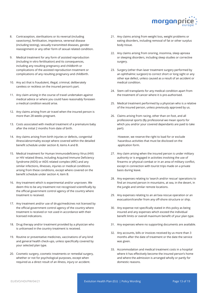

- 8. Contraception, sterilisations or its reversal (including vasectomy), fertilisation, impotence, venereal disease (including testing), sexually transmitted diseases, gender reassignment or any other form of sexual related condition.
- 9. Medical treatment for any form of assisted reproduction (including in vitro fertilisation) and its consequences, including any resulting pregnancy and childbirth or complications of the assisted reproduction treatment or complications of any resulting pregnancy and childbirth.
- 10. Any act that is fraudulent, illegal, criminal, deliberately careless or reckless on the insured person's part.
- 11. Any claim arising in the course of travel undertaken against medical advice or where you could have reasonably foreseen a medical condition would arise.
- 12. Any claims arising from air travel when the insured person is more than 28 weeks pregnant.
- 13. Costs associated with medical treatment of a premature baby after the initial 2 months from date of birth.
- 14. Any claims arising from birth injuries or defects, congenital illness/abnormality except where covered within the detailed benefit schedule under section 8, items A and B.
- 15. Medical treatment for Human Immunodeficiency Virus (HIV) or HIV related illness, including Acquired Immune Deficiency Syndrome (AIDS) or AIDS related complex (ARC) and any similar infections, illnesses, injuries or medical conditions arising from these conditions, except where covered on the benefit schedule under section 4, item B.
- 16. Any treatment which is experimental and/or unproven. We deem this to be any treatment not recognised scientifically by the official government control agency of the country where treatment is received.
- 17. Any treatment and/or use of drugs/medicines not licensed by the official government control agency of the country where treatment is received or not used in accordance with their licensed indications.
- 18. Drug therapy and/or treatment provided by a physician who is unlicensed in the country treatment is received.
- 19. Routine or preventative medicines, vaccinations of any kind and general health check-ups, unless specifically covered by your selected plan type.
- 20. Cosmetic surgery, cosmetic treatments or remedial surgery, whether or not for psychological purposes, except when required as a direct result of an illness, injury or accident.
- 21. Any claims arising from weight loss, weight problems or eating disorders, including removal of fat or other surplus body tissue.
- 22. Any claims arising from snoring, insomnia, sleep apnoea or sleeping disorders, including sleep studies or corrective surgery.
- 23. Surgery (other than laser treatment surgery performed by an ophthalmic surgeon) to correct short or long sight or any other eye defect, unless caused as a result of an accident or medical condition.
- 24. Stem cell transplants for any medical condition apart from the treatment of cancer where it is pre-authorised.
- 25. Medical treatment performed by a physician who is a relative of the insured person, unless previously approved by us.
- 26. Claims arising from racing, other than on foot, and all professional sports (By professional we mean sports for which you and/or your covered dependants are paid to take part).

However, we reserve the right to load for or exclude hazardous activities that must be disclosed on the application form.

- 27. Any claim arising when the insured person is under military authority or is engaged in activities involving the use of firearms or physical combat or in an area of military conflict, except in connection with tourist trips made on a private basis during leave.
- 28. Any expenses relating to 'search and/or rescue' operations to find an insured person in mountains, at sea, in the desert, in the jungle and similar remote locations.
- 29. Any expenses relating to an air/sea rescue operation or an evacuation/transfer from any off-shore structure or ship.
- 30. Any expense not specifically stated in this policy as being insured and any expenses which exceed the individual benefit limits or overall maximum benefit of your plan type.
- 31. Any expenses where no supporting documents are available.
- 32. Any accounts, bills or invoices received by us more than 3 months after the date of treatment or the date the service was given.
- 33. Accommodation and medical treatment costs in a hospital where it has effectively become the insured person's home and where the admission is arranged wholly or partly for domestic reasons.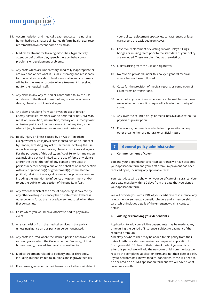

- 34. Accommodation and medical treatment costs in a nursing home, hydro spa, nature clinic, health farm, health spa, rest/ retirement/convalescent home or similar.
- 35. Medical treatment for learning difficulties, hyperactivity, attention deficit disorder, speech therapy, behavioural problems or development problems.
- 36. Any costs which are unnecessary, medically inappropriate or are over and above what is usual, customary and reasonable for the services provided. Usual, reasonable and customary will be for the area or country where treatment is received, not for the hospital itself.
- 37. Any claim in any way caused or contributed to, by the use or release or the threat thereof of any nuclear weapon or device, chemical or biological agent.
- 38. Any claims resulting from war, invasion, act of foreign enemy hostilities (whether war be declared or not), civil war, rebellion, revolution, insurrection, military or usurped power or, taking part in civil commotion or riot of any kind, except where injury is sustained as an innocent bystander.
- 39. Bodily injury or illness caused by an Act of Terrorism, except where such injury/illness is sustained as an innocent bystander, excluding any Act of Terrorism involving the use of nuclear weapons or devices, chemical or biological agents. For the purposes of this policy, an Act of Terrorism means an act, including but not limited to, the use of force or violence and/or the threat thereof, of any person or group(s) of persons whether acting alone or on behalf of or in connection with any organisation(s) or government(s), committed for political, religious, ideological or similar purposes or reasons including the intention to influence any government and/or to put the public or any section of the public, in fear.
- 40. Any expense which at the time of happening, is covered by any other existing insurance plan or state cover. If there is other cover in force, the insured person must tell when they first contact us.
- 41. Costs which you would have otherwise had to pay in any event.
- 42. Any loss arising from the medical services in this policy, unless negligence on our part can be demonstrated.
- 43. Any costs incurred where the insured person has travelled to a country/area which the Government or Embassy, of their home country, have advised against travelling to.
- 44. Medical treatment related to podiatry and/or chiropody, including, but not limited to, bunions and ingrown toenails.
- 45. If you wear glasses or contact lenses prior to the start date of

your policy, replacement spectacles, contact lenses or laser eye surgery are excluded from cover.

- 46. Cover for replacement of existing crowns, inlays, fillings, bridges or missing teeth prior to the start date of your policy are excluded. These are classified as pre-existing.
- 47. Claims arising from the use of e-cigarettes.
- 48. No cover is provided under this policy if general medical advice has not been followed.
- 49. Costs for the provision of medical reports or completion of claim forms or translations.
- 50. Any motorcycle accident where a crash helmet has not been worn, whether or not it is required by law in the country of claim.
- 51. Any 'over the counter' drugs or medicines available without a physicians prescription.
- 52. Please note, no cover is available for implantation of any other organ either of a natural or artificial nature.

## **7 General policy administration**

#### **a. Commencement of cover**

You and your dependants' cover can start once we have accepted your application form and your first premium payment has been received by us, including any applicable taxes.

Your start date will be shown on your certificate of insurance. Your start date must be within 30 days from the date that you signed your application form.

We will provide you with a PDF of your certificate of insurance, any relevant endorsements, a benefit schedule and a membership card, which includes details of the emergency claims contact details.

### **b. Adding or removing your dependants**

Application to add your eligible dependants may be made at any time during the period of insurance, subject to payment of the required premium.

A healthy newborn child may be added to this policy from their date of birth provided we received a completed application form from you within 14 days of their date of birth. If you notify us after this period, we will add the newborn child from the date we receive the completed application form and not their date of birth. If your newborn has known medical conditions, these will need to be declared on an FMU application form and we will advise what cover we can offer.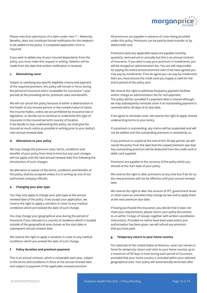

Please note that submission of a claim under item 7 – Maternity Benefits, does not constitute formal notification for the newborn to be added to the policy. A completed application form is required.

If you wish to delete any of your insured dependants from the policy, you must make this request in writing. Deletion will be made from the date that written notification is received.

#### **c. Maintaining cover**

Subject to satisfying any specific eligibility criteria and payment of the required premium, this policy will remain in force during the period of insurance and is renewable for successive 1-year periods at the prevailing terms, premium rates and benefits.

We will not cancel this policy because of either a deterioration in the health of any insured person or the number/value of claims the insured makes, unless we are prohibited by insurance law or legislation, or decide not to continue to underwrite this type of insurance in the insured person's country of location. If we decide to stop underwriting this policy, we shall give the insured as much notice as possible in writing prior to your policy's next annual renewal date.

#### **d. Alterations to your policy**

We may change the premium rates, terms, conditions and benefits of your policy from time to time but any such changes will not apply until the next annual renewal date first following the introduction of such changes.

No alteration or waiver of the terms, conditions and benefits of this policy shall be accepted unless it is in writing by one of our authorised company officials.

#### **e. Changing your plan type**

You may only apply to change your plan type at the annual renewal date of the policy. If we accept your application, we reserve the right to apply a variation in cover to any medical conditions which pre-existed the date of such change.

You may change your geographical area during the period of insurance if you relocate to a country of residence which is located outside of the geographical area chosen at the start date or subsequent annual renewal date.

We reserve the right to apply a variation in cover to any medical conditions which pre-existed the date of such change.

### **f. Policy duration and premium payment**

This is an annual contract, which is renewable each year, subject to the terms and conditions in force at the annual renewal date and subject to payment of the applicable renewal premium.

All premiums are payable in advance of cover being provided under this policy. Premiums can be paid by bank transfer or by debit/credit card.

Premiums (and any applicable taxes) are payable monthly, quarterly, semi-annual or annually but this is an annual contract of insurance. If you elect to pay your premium in instalments, you will be charged an administration fee. You are still responsible for paying the entire annual premium even if we have agreed you may pay by instalments. If we do agree you can pay by instalments then you must ensure the credit card you supply is valid for the entire period of the policy year.

We reserve the right to withdraw frequency payment facilities and/or charge an administration fee for non-payment. The policy will be cancelled if a payment date is missed although we may subsequently reinstate cover if an outstanding payment is received within 30 days of its due date.

If we agree to reinstate cover, we reserve the right to apply revised underwriting terms to your policy.

If a premium is outstanding, any claims will be suspended and will not be settled until the outstanding premium is received by us.

If any premium is unpaid at the end of this 30-day period, we will cancel the policy from the date that the unpaid premium was due. Any outstanding premium will be deducted from the credit card or debit card supplied.

Premiums are payable in the currency of the policy which you elected at the start date of your policy.

We reserve the right to alter premiums at any time but if we do so, the new premiums will not be effective until your annual renewal date.

We reserve the right to alter the amount of IPT, government levies or other taxes as and when they change by law and to apply them at the next premium due date.

If having purchased this insurance, you decide that it does not meet your requirements, please return your policy documents to us within 14 days of receipt, together with written cancellation instructions. Provided no claims have been paid and/or preauthorisation has been given, we will refund any premium that you have paid.

#### **g. Temporary return to your home country**

For nationals of the United States of America, cover can remain in force for temporary return and visits to your home country up to a maximum of 90 days in total during each period of insurance, provided that your home country is included within your selected geographical area. Your policy will automatically terminate after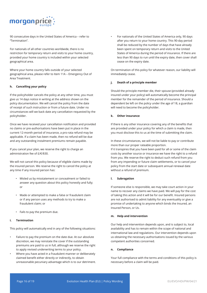

90 consecutive days in the United States of America – refer to "Termination".

For nationals of all other countries worldwide, there is no restriction for temporary return and visits to your home country, provided your home country is included within your selected geographical area.

Where your home country falls outside of your selected geographical area, please refer to Item 11A – Emergency Out of Area Treatment.

#### **h. Cancelling your policy**

If the policyholder cancels the policy at any other time, you must give us 14 days notice in writing at the address shown on the policy documentation. We will cancel the policy from the date of receipt of such instruction or from a future date. Under no circumstances will we back date any cancellation requested by the policyholder.

Once we have received your cancellation notification and provided no claims or pre-authorisations have been put in place in the current 12-month period of insurance, a pro-rata refund may be applicable. If a claim has been made, then no refund will be due and any outstanding instalment premiums remain payable.

If you cancel your plan, we reserve the right to charge an administration fee of £/€/\$30.

We will not cancel this policy because of eligible claims made by the insured person. We reserve the right to cancel the policy at any time if any insured person has:

- Misled us by misstatement or concealment or failed to answer any question about this policy honestly and fully; or
- Made or attempted to make a false or fraudulent claim or if any person uses any methods to try to make a fraudulent claim; or
- Fails to pay the premium due.

#### **i. Termination**

This policy will automatically end in any of the following situations:

- Failure to pay the premium on the date due. At our absolute discretion, we may reinstate the cover if the outstanding premiums are paid to us in full, although we reserve the right to apply revised underwriting terms to your policy.
- Where you have acted in a fraudulent manner or deliberately claimed benefit either directly or indirectly, to obtain unreasonable pecuniary advantage which is to our detriment.

• For nationals of the United States of America only, 90 days after you return to your home country. This 90-day period shall be reduced by the number of days that have already been spent on temporary return and visits to the United States of America during the period of insurance. If there are less than 90 days to run until the expiry date, then cover shall cease on the expiry date.

On termination of this policy for whatever reason, our liability will immediately cease.

## **j. Death of a principle member**

Should the principle member die, their spouse (provided already insured under your policy) will automatically become the principal member for the remainder of the period of insurance. Should a dependent be left on the policy under the age of 18, a guardian will need to become the policyholder.

#### **k. Other insurance**

If there is any other insurance covering any of the benefits that are provided under your policy for which a claim is made, then you must disclose this to us at the time of submitting the claim.

In these circumstances, we will not be liable to pay or contribute more than our proper rateable proportion.

If it transpires that you have been paid for all or some of the claim costs by another source or insurance we have the right to a refund from you. We reserve the right to deduct such refund from you from any impending or future claim settlements, or to cancel your policy from the start date or subsequent annual renewal date without a refund of premium.

#### **l. Subrogation**

If someone else is responsible, we may take court action in your name to recover any claims we have paid. We will pay for the cost of taking this action and it will be for our benefit. Insured persons are not authorised to admit liability for any eventuality or give a promise of undertaking to anyone which binds the Insured, an Insured Person, or Us.

#### **m. Help and intervention**

Our help and intervention depends upon, and is subject to, local availability and has to remain within the scope of national and international law and regulations. Our intervention depends upon us obtaining the necessary authorisations issued by the various competent authorities concerned.

#### **n. Compliance**

Your full compliance with the terms and conditions of this policy is necessary before a claim will be paid.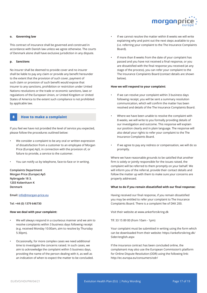

#### **o. Governing law**

This contract of insurance shall be governed and construed in accordance with Danish law unless we agree otherwise. The courts of Denmark alone shall have exclusive jurisdiction in any dispute.

#### **p. Sanctions**

No insurer shall be deemed to provide cover and no insurer shall be liable to pay any claim or provide any benefit hereunder to the extent that the provision of such cover, payment of such claim or provision of such benefit would expose that insurer to any sanctions, prohibition or restriction under United Nations resolutions or the trade or economic sanctions, laws or regulations of the European Union, or United Kingdom or United States of America to the extent such compliance is not prohibited by applicable law.

## **8 How to make a complaint**

If you feel we have not provided the level of service you expected, please follow the procedures outlined below:

- We consider a complaint to be any oral or written expression of dissatisfaction from a customer to an employee of Morgan Price (Europe) ApS, in connection with the provision of, or failure to provide, a service to the customer.
- You can notify us by telephone, face-to-face or in writing.

**Complaints Department Morgan Price (Europe) ApS Nybrogade 18 3. 1203 Kobenhavn K Denmark**

**Email: info@morgan-price.eu** 

**Tel: +44 (0) 1379 646730**

#### **How we deal with your complaint:**

- We will always respond in a courteous manner and we aim to resolve complaints within 3 business days following receipt (e.g. received Monday 10:00am, aim to resolve by Thursday 5:30pm).
- Occasionally, for more complex cases we need additional time to investigate the concerns raised. In such cases, we aim to acknowledge the complaint within 5 business days, providing the name of the person dealing with it, as well as an indication of when to expect the matter to be concluded.
- If we cannot resolve the matter within 8 weeks we will write explaining why and point out the next steps available to you (i.e. referring your complaint to the The Insurance Complaints Board).
- If more than 8 weeks from the date of your complaint has passed and you have not received a final response, or you are dissatisfied with the final response you received (at any stage of the process), you can refer your complaint to the The Insurance Complaints Board (contact details are shown below).

#### **How we will respond to your complaint:**

- If we can resolve your complaint within 3 business days following receipt, you will be sent a summary resolution communication, which will confirm the matter has been resolved and details of the The Insurance Complaints Board.
- Where we have been unable to resolve the complaint with 8 weeks, we will write to you formally providing details of our investigation and outcome. This response will explain our position clearly and in plain language. The response will also detail your rights to refer your complaint to the The Insurance Complaints Board.
- If we agree to pay any redress or compensation, we will do so promptly.

Where we have reasonable grounds to be satisfied that another firm is solely or jointly responsible for the issues raised, the complaint will be referred to them promptly on your behalf. We will inform you of the referral, provide their contact details and follow the matter up with them to make sure your concerns are properly addressed.

#### **What to do if you remain dissatisfied with our final response:**

Having received our final response, if you remain dissatisfied you may be entitled to refer your complaint to The Insurance Complaints Board. There is a complaint fee of DKK 200.

Visit their website at www.ankerforsikring.dk

Tlf: 33 15 89 00 (from 10am - 1pm)

Your complaint must be submitted in writing using the form which can be downloaded from their website: https://ankeforsikring.dk/ Sider/english.aspx

If the insurance contract has been concluded online, the complainant may also use the European Commission's platform for Online Dispute Resolution (ODR) using the following link: http://ec.europa.eu/consumers/odr/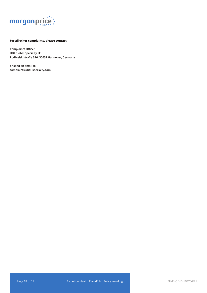

## **For all other complaints, please contact:**

**Complaints Officer HDI Global Specialty SE Podbielskistraße 396, 30659 Hannover, Germany**

**or send an email to complaints@hdi-specialty.com**